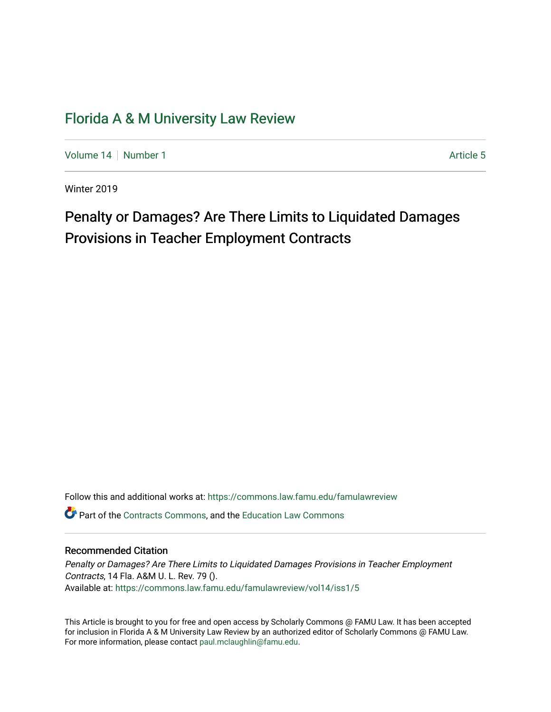# [Florida A & M University Law Review](https://commons.law.famu.edu/famulawreview)

[Volume 14](https://commons.law.famu.edu/famulawreview/vol14) | [Number 1](https://commons.law.famu.edu/famulawreview/vol14/iss1) Article 5

Winter 2019

# Penalty or Damages? Are There Limits to Liquidated Damages Provisions in Teacher Employment Contracts

Follow this and additional works at: [https://commons.law.famu.edu/famulawreview](https://commons.law.famu.edu/famulawreview?utm_source=commons.law.famu.edu%2Ffamulawreview%2Fvol14%2Fiss1%2F5&utm_medium=PDF&utm_campaign=PDFCoverPages)  **C** Part of the [Contracts Commons](http://network.bepress.com/hgg/discipline/591?utm_source=commons.law.famu.edu%2Ffamulawreview%2Fvol14%2Fiss1%2F5&utm_medium=PDF&utm_campaign=PDFCoverPages), and the Education Law Commons

# Recommended Citation

Penalty or Damages? Are There Limits to Liquidated Damages Provisions in Teacher Employment Contracts, 14 Fla. A&M U. L. Rev. 79 (). Available at: [https://commons.law.famu.edu/famulawreview/vol14/iss1/5](https://commons.law.famu.edu/famulawreview/vol14/iss1/5?utm_source=commons.law.famu.edu%2Ffamulawreview%2Fvol14%2Fiss1%2F5&utm_medium=PDF&utm_campaign=PDFCoverPages)

This Article is brought to you for free and open access by Scholarly Commons @ FAMU Law. It has been accepted for inclusion in Florida A & M University Law Review by an authorized editor of Scholarly Commons @ FAMU Law. For more information, please contact [paul.mclaughlin@famu.edu](mailto:paul.mclaughlin@famu.edu).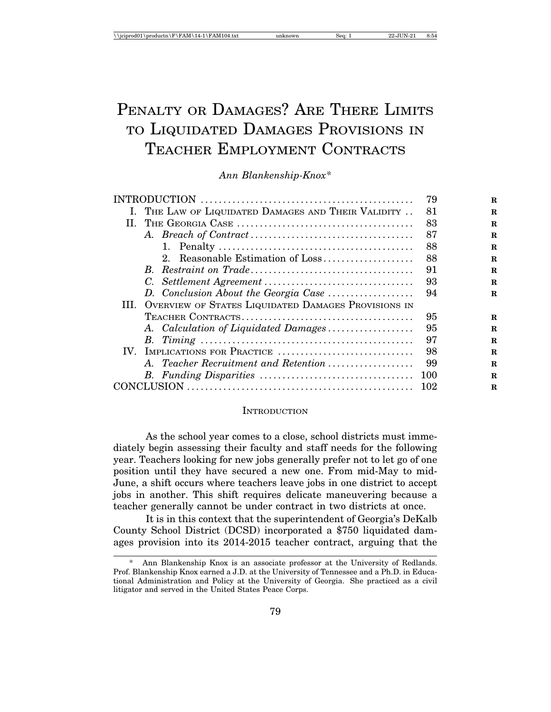# PENALTY OR DAMAGES? ARE THERE LIMITS TO LIQUIDATED DAMAGES PROVISIONS IN TEACHER EMPLOYMENT CONTRACTS

*Ann Blankenship-Knox\**

|                                                          | 79  | R           |
|----------------------------------------------------------|-----|-------------|
| I. THE LAW OF LIQUIDATED DAMAGES AND THEIR VALIDITY      | 81  | R           |
| П.                                                       | 83  | R           |
|                                                          | 87  | $\mathbf R$ |
|                                                          | 88  | $\mathbf R$ |
| 2. Reasonable Estimation of Loss                         | 88  | $\mathbf R$ |
|                                                          | 91  | $\mathbf R$ |
|                                                          | 93  | $\mathbf R$ |
| D. Conclusion About the Georgia Case                     | 94  | $\mathbf R$ |
| III. OVERVIEW OF STATES LIQUIDATED DAMAGES PROVISIONS IN |     |             |
|                                                          | 95  | $\mathbf R$ |
| A. Calculation of Liquidated Damages                     | 95  | $\mathbf R$ |
|                                                          | 97  | R           |
| IV. IMPLICATIONS FOR PRACTICE                            | 98  | $\mathbf R$ |
| A. Teacher Recruitment and Retention                     | 99  | $\mathbf R$ |
|                                                          | 100 | $\mathbf R$ |
|                                                          | 102 | R           |

#### **INTRODUCTION**

As the school year comes to a close, school districts must immediately begin assessing their faculty and staff needs for the following year. Teachers looking for new jobs generally prefer not to let go of one position until they have secured a new one. From mid-May to mid-June, a shift occurs where teachers leave jobs in one district to accept jobs in another. This shift requires delicate maneuvering because a teacher generally cannot be under contract in two districts at once.

It is in this context that the superintendent of Georgia's DeKalb County School District (DCSD) incorporated a \$750 liquidated damages provision into its 2014-2015 teacher contract, arguing that the

Ann Blankenship Knox is an associate professor at the University of Redlands. Prof. Blankenship Knox earned a J.D. at the University of Tennessee and a Ph.D. in Educational Administration and Policy at the University of Georgia. She practiced as a civil litigator and served in the United States Peace Corps.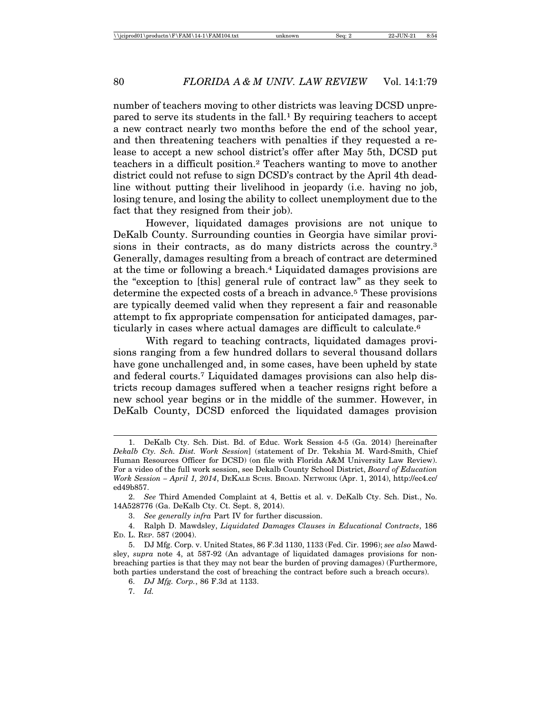number of teachers moving to other districts was leaving DCSD unprepared to serve its students in the fall.1 By requiring teachers to accept a new contract nearly two months before the end of the school year, and then threatening teachers with penalties if they requested a release to accept a new school district's offer after May 5th, DCSD put teachers in a difficult position.2 Teachers wanting to move to another district could not refuse to sign DCSD's contract by the April 4th deadline without putting their livelihood in jeopardy (i.e. having no job, losing tenure, and losing the ability to collect unemployment due to the fact that they resigned from their job).

However, liquidated damages provisions are not unique to DeKalb County. Surrounding counties in Georgia have similar provisions in their contracts, as do many districts across the country.3 Generally, damages resulting from a breach of contract are determined at the time or following a breach.4 Liquidated damages provisions are the "exception to [this] general rule of contract law" as they seek to determine the expected costs of a breach in advance.<sup>5</sup> These provisions are typically deemed valid when they represent a fair and reasonable attempt to fix appropriate compensation for anticipated damages, particularly in cases where actual damages are difficult to calculate.6

With regard to teaching contracts, liquidated damages provisions ranging from a few hundred dollars to several thousand dollars have gone unchallenged and, in some cases, have been upheld by state and federal courts.7 Liquidated damages provisions can also help districts recoup damages suffered when a teacher resigns right before a new school year begins or in the middle of the summer. However, in DeKalb County, DCSD enforced the liquidated damages provision

<sup>1.</sup> DeKalb Cty. Sch. Dist. Bd. of Educ. Work Session 4-5 (Ga. 2014) [hereinafter *Dekalb Cty. Sch. Dist. Work Session*] (statement of Dr. Tekshia M. Ward-Smith, Chief Human Resources Officer for DCSD) (on file with Florida A&M University Law Review). For a video of the full work session, see Dekalb County School District, *Board of Education Work Session – April 1, 2014*, DEKALB SCHS. BROAD. NETWORK (Apr. 1, 2014), http://ec4.cc/ ed49b857.

<sup>2.</sup> *See* Third Amended Complaint at 4, Bettis et al. v. DeKalb Cty. Sch. Dist., No. 14A528776 (Ga. DeKalb Cty. Ct. Sept. 8, 2014).

<sup>3.</sup> *See generally infra* Part IV for further discussion.

<sup>4.</sup> Ralph D. Mawdsley, *Liquidated Damages Clauses in Educational Contracts*, 186 ED. L. REP. 587 (2004).

<sup>5.</sup> DJ Mfg. Corp. v. United States, 86 F.3d 1130, 1133 (Fed. Cir. 1996); *see also* Mawdsley, *supra* note 4, at 587-92 (An advantage of liquidated damages provisions for nonbreaching parties is that they may not bear the burden of proving damages) (Furthermore, both parties understand the cost of breaching the contract before such a breach occurs).

<sup>6.</sup> *DJ Mfg. Corp.*, 86 F.3d at 1133.

<sup>7.</sup> *Id.*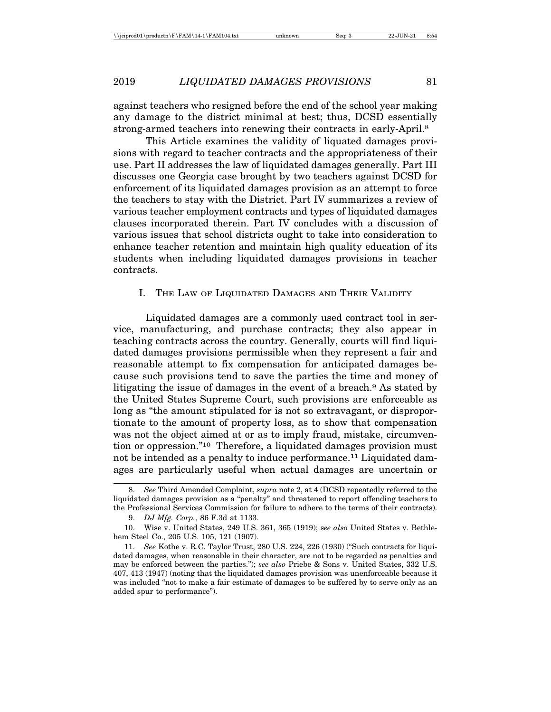against teachers who resigned before the end of the school year making any damage to the district minimal at best; thus, DCSD essentially strong-armed teachers into renewing their contracts in early-April.<sup>8</sup>

This Article examines the validity of liquated damages provisions with regard to teacher contracts and the appropriateness of their use. Part II addresses the law of liquidated damages generally. Part III discusses one Georgia case brought by two teachers against DCSD for enforcement of its liquidated damages provision as an attempt to force the teachers to stay with the District. Part IV summarizes a review of various teacher employment contracts and types of liquidated damages clauses incorporated therein. Part IV concludes with a discussion of various issues that school districts ought to take into consideration to enhance teacher retention and maintain high quality education of its students when including liquidated damages provisions in teacher contracts.

#### I. THE LAW OF LIQUIDATED DAMAGES AND THEIR VALIDITY

Liquidated damages are a commonly used contract tool in service, manufacturing, and purchase contracts; they also appear in teaching contracts across the country. Generally, courts will find liquidated damages provisions permissible when they represent a fair and reasonable attempt to fix compensation for anticipated damages because such provisions tend to save the parties the time and money of litigating the issue of damages in the event of a breach.9 As stated by the United States Supreme Court, such provisions are enforceable as long as "the amount stipulated for is not so extravagant, or disproportionate to the amount of property loss, as to show that compensation was not the object aimed at or as to imply fraud, mistake, circumvention or oppression."10 Therefore, a liquidated damages provision must not be intended as a penalty to induce performance.<sup>11</sup> Liquidated damages are particularly useful when actual damages are uncertain or

<sup>8.</sup> *See* Third Amended Complaint, *supra* note 2, at 4 (DCSD repeatedly referred to the liquidated damages provision as a "penalty" and threatened to report offending teachers to the Professional Services Commission for failure to adhere to the terms of their contracts).

<sup>9.</sup> *DJ Mfg. Corp.*, 86 F.3d at 1133.

<sup>10.</sup> Wise v. United States, 249 U.S. 361, 365 (1919); s*ee also* United States v. Bethlehem Steel Co., 205 U.S. 105, 121 (1907).

<sup>11.</sup> *See* Kothe v. R.C. Taylor Trust, 280 U.S. 224, 226 (1930) ("Such contracts for liquidated damages, when reasonable in their character, are not to be regarded as penalties and may be enforced between the parties."); *see also* Priebe & Sons v. United States, 332 U.S. 407, 413 (1947) (noting that the liquidated damages provision was unenforceable because it was included "not to make a fair estimate of damages to be suffered by to serve only as an added spur to performance").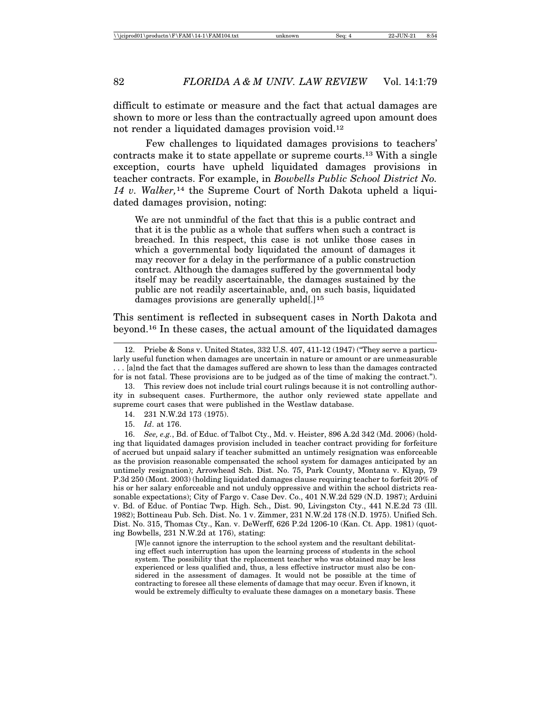difficult to estimate or measure and the fact that actual damages are shown to more or less than the contractually agreed upon amount does not render a liquidated damages provision void.12

Few challenges to liquidated damages provisions to teachers' contracts make it to state appellate or supreme courts.13 With a single exception, courts have upheld liquidated damages provisions in teacher contracts. For example, in *Bowbells Public School District No. 14 v. Walker,*14 the Supreme Court of North Dakota upheld a liquidated damages provision, noting:

We are not unmindful of the fact that this is a public contract and that it is the public as a whole that suffers when such a contract is breached. In this respect, this case is not unlike those cases in which a governmental body liquidated the amount of damages it may recover for a delay in the performance of a public construction contract. Although the damages suffered by the governmental body itself may be readily ascertainable, the damages sustained by the public are not readily ascertainable, and, on such basis, liquidated damages provisions are generally upheld[.]<sup>15</sup>

This sentiment is reflected in subsequent cases in North Dakota and beyond.16 In these cases, the actual amount of the liquidated damages

[W]e cannot ignore the interruption to the school system and the resultant debilitating effect such interruption has upon the learning process of students in the school system. The possibility that the replacement teacher who was obtained may be less experienced or less qualified and, thus, a less effective instructor must also be considered in the assessment of damages. It would not be possible at the time of contracting to foresee all these elements of damage that may occur. Even if known, it would be extremely difficulty to evaluate these damages on a monetary basis. These

<sup>12.</sup> Priebe & Sons v. United States, 332 U.S. 407, 411-12 (1947) ("They serve a particularly useful function when damages are uncertain in nature or amount or are unmeasurable . . . [a]nd the fact that the damages suffered are shown to less than the damages contracted for is not fatal. These provisions are to be judged as of the time of making the contract.").

<sup>13.</sup> This review does not include trial court rulings because it is not controlling authority in subsequent cases. Furthermore, the author only reviewed state appellate and supreme court cases that were published in the Westlaw database.

<sup>14. 231</sup> N.W.2d 173 (1975).

<sup>15.</sup> *Id*. at 176.

<sup>16.</sup> *See, e.g.*, Bd. of Educ. of Talbot Cty., Md. v. Heister, 896 A.2d 342 (Md. 2006) (holding that liquidated damages provision included in teacher contract providing for forfeiture of accrued but unpaid salary if teacher submitted an untimely resignation was enforceable as the provision reasonable compensated the school system for damages anticipated by an untimely resignation); Arrowhead Sch. Dist. No. 75, Park County, Montana v. Klyap, 79 P.3d 250 (Mont. 2003) (holding liquidated damages clause requiring teacher to forfeit 20% of his or her salary enforceable and not unduly oppressive and within the school districts reasonable expectations); City of Fargo v. Case Dev. Co., 401 N.W.2d 529 (N.D. 1987); Arduini v. Bd. of Educ. of Pontiac Twp. High. Sch., Dist. 90, Livingston Cty., 441 N.E.2d 73 (Ill. 1982); Bottineau Pub. Sch. Dist. No. 1 v. Zimmer, 231 N.W.2d 178 (N.D. 1975). Unified Sch. Dist. No. 315, Thomas Cty., Kan. v. DeWerff, 626 P.2d 1206-10 (Kan. Ct. App. 1981) (quoting Bowbells, 231 N.W.2d at 176), stating: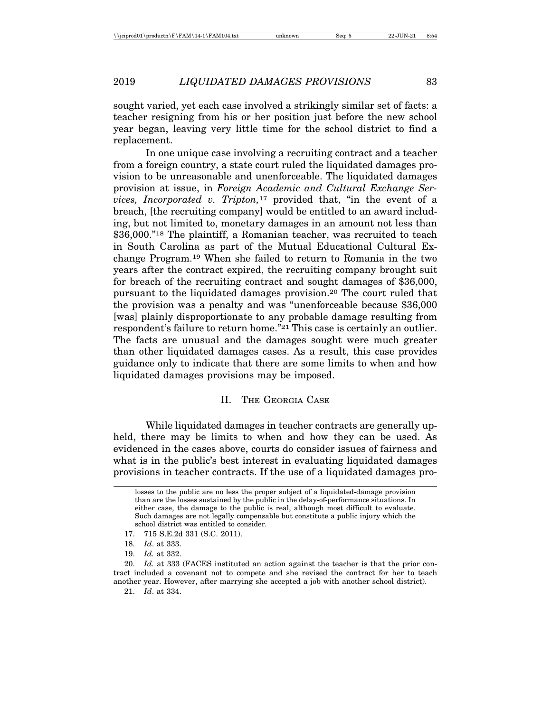sought varied, yet each case involved a strikingly similar set of facts: a teacher resigning from his or her position just before the new school year began, leaving very little time for the school district to find a replacement.

In one unique case involving a recruiting contract and a teacher from a foreign country, a state court ruled the liquidated damages provision to be unreasonable and unenforceable. The liquidated damages provision at issue, in *Foreign Academic and Cultural Exchange Services, Incorporated v. Tripton,*17 provided that, "in the event of a breach, [the recruiting company] would be entitled to an award including, but not limited to, monetary damages in an amount not less than \$36,000."<sup>18</sup> The plaintiff, a Romanian teacher, was recruited to teach in South Carolina as part of the Mutual Educational Cultural Exchange Program.19 When she failed to return to Romania in the two years after the contract expired, the recruiting company brought suit for breach of the recruiting contract and sought damages of \$36,000, pursuant to the liquidated damages provision.20 The court ruled that the provision was a penalty and was "unenforceable because \$36,000 [was] plainly disproportionate to any probable damage resulting from respondent's failure to return home."21 This case is certainly an outlier. The facts are unusual and the damages sought were much greater than other liquidated damages cases. As a result, this case provides guidance only to indicate that there are some limits to when and how liquidated damages provisions may be imposed.

# II. THE GEORGIA CASE

While liquidated damages in teacher contracts are generally upheld, there may be limits to when and how they can be used. As evidenced in the cases above, courts do consider issues of fairness and what is in the public's best interest in evaluating liquidated damages provisions in teacher contracts. If the use of a liquidated damages pro-

20. *Id.* at 333 (FACES instituted an action against the teacher is that the prior contract included a covenant not to compete and she revised the contract for her to teach another year. However, after marrying she accepted a job with another school district).

21. *Id*. at 334.

losses to the public are no less the proper subject of a liquidated-damage provision than are the losses sustained by the public in the delay-of-performance situations. In either case, the damage to the public is real, although most difficult to evaluate. Such damages are not legally compensable but constitute a public injury which the school district was entitled to consider.

<sup>17. 715</sup> S.E.2d 331 (S.C. 2011).

<sup>18.</sup> *Id*. at 333.

<sup>19.</sup> *Id.* at 332.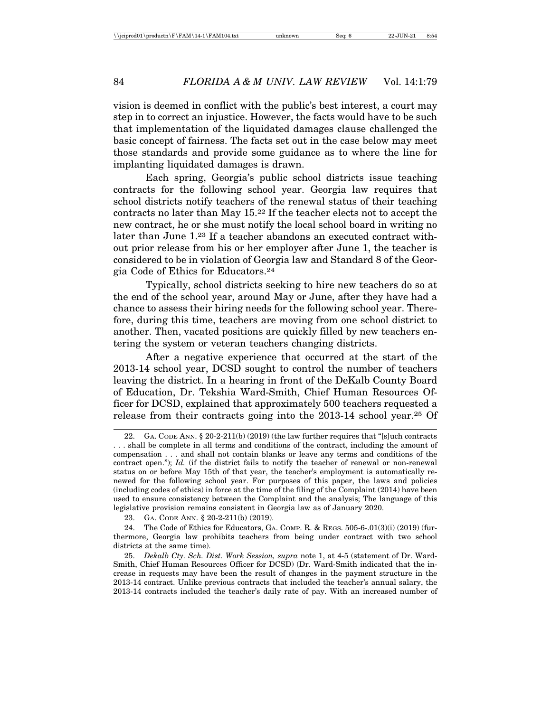vision is deemed in conflict with the public's best interest, a court may step in to correct an injustice. However, the facts would have to be such that implementation of the liquidated damages clause challenged the basic concept of fairness. The facts set out in the case below may meet those standards and provide some guidance as to where the line for implanting liquidated damages is drawn.

Each spring, Georgia's public school districts issue teaching contracts for the following school year. Georgia law requires that school districts notify teachers of the renewal status of their teaching contracts no later than May 15.22 If the teacher elects not to accept the new contract, he or she must notify the local school board in writing no later than June 1.23 If a teacher abandons an executed contract without prior release from his or her employer after June 1, the teacher is considered to be in violation of Georgia law and Standard 8 of the Georgia Code of Ethics for Educators.24

Typically, school districts seeking to hire new teachers do so at the end of the school year, around May or June, after they have had a chance to assess their hiring needs for the following school year. Therefore, during this time, teachers are moving from one school district to another. Then, vacated positions are quickly filled by new teachers entering the system or veteran teachers changing districts.

After a negative experience that occurred at the start of the 2013-14 school year, DCSD sought to control the number of teachers leaving the district. In a hearing in front of the DeKalb County Board of Education, Dr. Tekshia Ward-Smith, Chief Human Resources Officer for DCSD, explained that approximately 500 teachers requested a release from their contracts going into the 2013-14 school year.25 Of

23. GA. CODE ANN. § 20-2-211(b) (2019).

24. The Code of Ethics for Educators, GA. COMP. R. & REGS. 505-6-.01(3)(i) (2019) (furthermore, Georgia law prohibits teachers from being under contract with two school districts at the same time).

25. *Dekalb Cty. Sch. Dist. Work Session, supra* note 1, at 4-5 (statement of Dr. Ward-Smith, Chief Human Resources Officer for DCSD) (Dr. Ward-Smith indicated that the increase in requests may have been the result of changes in the payment structure in the 2013-14 contract. Unlike previous contracts that included the teacher's annual salary, the 2013-14 contracts included the teacher's daily rate of pay. With an increased number of

GA. CODE ANN. § 20-2-211(b) (2019) (the law further requires that "[s]uch contracts . . . shall be complete in all terms and conditions of the contract, including the amount of compensation . . . and shall not contain blanks or leave any terms and conditions of the contract open."); *Id.* (if the district fails to notify the teacher of renewal or non-renewal status on or before May 15th of that year, the teacher's employment is automatically renewed for the following school year. For purposes of this paper, the laws and policies (including codes of ethics) in force at the time of the filing of the Complaint (2014) have been used to ensure consistency between the Complaint and the analysis; The language of this legislative provision remains consistent in Georgia law as of January 2020.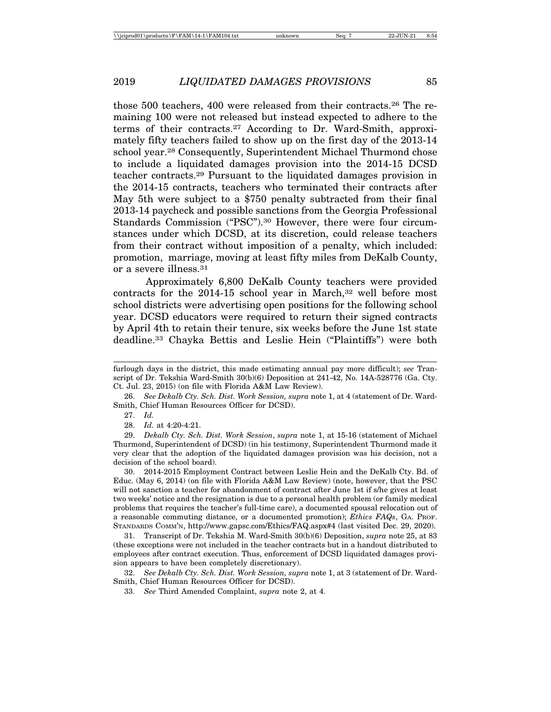those 500 teachers, 400 were released from their contracts.26 The remaining 100 were not released but instead expected to adhere to the terms of their contracts.27 According to Dr. Ward-Smith, approximately fifty teachers failed to show up on the first day of the 2013-14 school year.28 Consequently, Superintendent Michael Thurmond chose to include a liquidated damages provision into the 2014-15 DCSD teacher contracts.29 Pursuant to the liquidated damages provision in the 2014-15 contracts, teachers who terminated their contracts after May 5th were subject to a \$750 penalty subtracted from their final 2013-14 paycheck and possible sanctions from the Georgia Professional Standards Commission ("PSC").30 However, there were four circumstances under which DCSD, at its discretion, could release teachers from their contract without imposition of a penalty, which included: promotion, marriage, moving at least fifty miles from DeKalb County, or a severe illness.31

Approximately 6,800 DeKalb County teachers were provided contracts for the 2014-15 school year in March,<sup>32</sup> well before most school districts were advertising open positions for the following school year. DCSD educators were required to return their signed contracts by April 4th to retain their tenure, six weeks before the June 1st state deadline.33 Chayka Bettis and Leslie Hein ("Plaintiffs") were both

30. 2014-2015 Employment Contract between Leslie Hein and the DeKalb Cty. Bd. of Educ. (May 6, 2014) (on file with Florida A&M Law Review) (note, however, that the PSC will not sanction a teacher for abandonment of contract after June 1st if s/he gives at least two weeks' notice and the resignation is due to a personal health problem (or family medical problems that requires the teacher's full-time care), a documented spousal relocation out of a reasonable commuting distance, or a documented promotion); *Ethics FAQs*, GA. PROF. STANDARDS COMM'N, http://www.gapsc.com/Ethics/FAQ.aspx#4 (last visited Dec. 29, 2020).

31. Transcript of Dr. Tekshia M. Ward-Smith 30(b)(6) Deposition, *supra* note 25, at 83 (these exceptions were not included in the teacher contracts but in a handout distributed to employees after contract execution. Thus, enforcement of DCSD liquidated damages provision appears to have been completely discretionary).

32. *See Dekalb Cty. Sch. Dist. Work Session, supra* note 1, at 3 (statement of Dr. Ward-Smith, Chief Human Resources Officer for DCSD).

33. *See* Third Amended Complaint, *supra* note 2, at 4.

furlough days in the district, this made estimating annual pay more difficult); *see* Transcript of Dr. Tekshia Ward-Smith 30(b)(6) Deposition at 241-42, No. 14A-528776 (Ga. Cty. Ct. Jul. 23, 2015) (on file with Florida A&M Law Review).

<sup>26.</sup> *See Dekalb Cty. Sch. Dist. Work Session, supra* note 1, at 4 (statement of Dr. Ward-Smith, Chief Human Resources Officer for DCSD).

<sup>27.</sup> *Id.*

<sup>28.</sup> *Id.* at 4:20-4:21.

<sup>29.</sup> *Dekalb Cty. Sch. Dist. Work Session*, *supra* note 1, at 15-16 (statement of Michael Thurmond, Superintendent of DCSD) (in his testimony, Superintendent Thurmond made it very clear that the adoption of the liquidated damages provision was his decision, not a decision of the school board).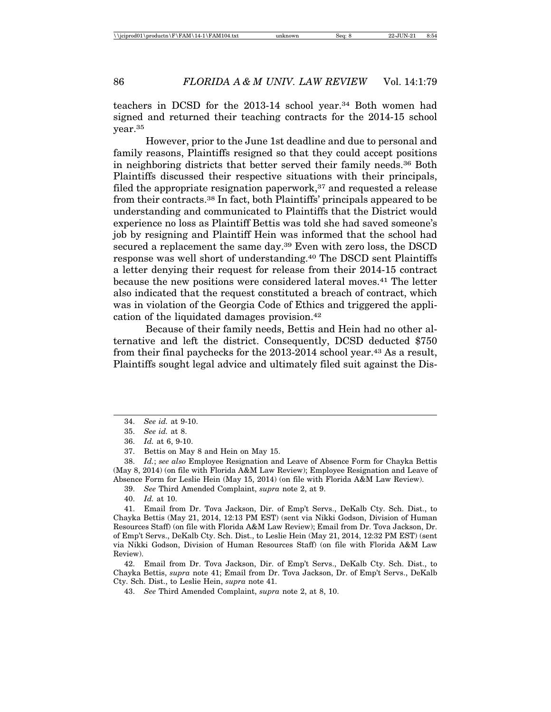teachers in DCSD for the 2013-14 school year.34 Both women had signed and returned their teaching contracts for the 2014-15 school year.35

However, prior to the June 1st deadline and due to personal and family reasons, Plaintiffs resigned so that they could accept positions in neighboring districts that better served their family needs.36 Both Plaintiffs discussed their respective situations with their principals, filed the appropriate resignation paperwork, $37$  and requested a release from their contracts.38 In fact, both Plaintiffs' principals appeared to be understanding and communicated to Plaintiffs that the District would experience no loss as Plaintiff Bettis was told she had saved someone's job by resigning and Plaintiff Hein was informed that the school had secured a replacement the same day.39 Even with zero loss, the DSCD response was well short of understanding.40 The DSCD sent Plaintiffs a letter denying their request for release from their 2014-15 contract because the new positions were considered lateral moves.41 The letter also indicated that the request constituted a breach of contract, which was in violation of the Georgia Code of Ethics and triggered the application of the liquidated damages provision.42

Because of their family needs, Bettis and Hein had no other alternative and left the district. Consequently, DCSD deducted \$750 from their final paychecks for the 2013-2014 school year.43 As a result, Plaintiffs sought legal advice and ultimately filed suit against the Dis-

38. *Id.*; *see also* Employee Resignation and Leave of Absence Form for Chayka Bettis (May 8, 2014) (on file with Florida A&M Law Review); Employee Resignation and Leave of Absence Form for Leslie Hein (May 15, 2014) (on file with Florida A&M Law Review).

39. *See* Third Amended Complaint, *supra* note 2, at 9.

40. *Id.* at 10.

41. Email from Dr. Tova Jackson, Dir. of Emp't Servs., DeKalb Cty. Sch. Dist., to Chayka Bettis (May 21, 2014, 12:13 PM EST) (sent via Nikki Godson, Division of Human Resources Staff) (on file with Florida A&M Law Review); Email from Dr. Tova Jackson, Dr. of Emp't Servs., DeKalb Cty. Sch. Dist., to Leslie Hein (May 21, 2014, 12:32 PM EST) (sent via Nikki Godson, Division of Human Resources Staff) (on file with Florida A&M Law Review).

42. Email from Dr. Tova Jackson, Dir. of Emp't Servs., DeKalb Cty. Sch. Dist., to Chayka Bettis, *supra* note 41; Email from Dr. Tova Jackson, Dr. of Emp't Servs., DeKalb Cty. Sch. Dist., to Leslie Hein, *supra* note 41.

<sup>34.</sup> *See id.* at 9-10.

<sup>35.</sup> *See id.* at 8.

<sup>36.</sup> *Id.* at 6, 9-10.

<sup>37.</sup> Bettis on May 8 and Hein on May 15.

<sup>43.</sup> *See* Third Amended Complaint, *supra* note 2, at 8, 10.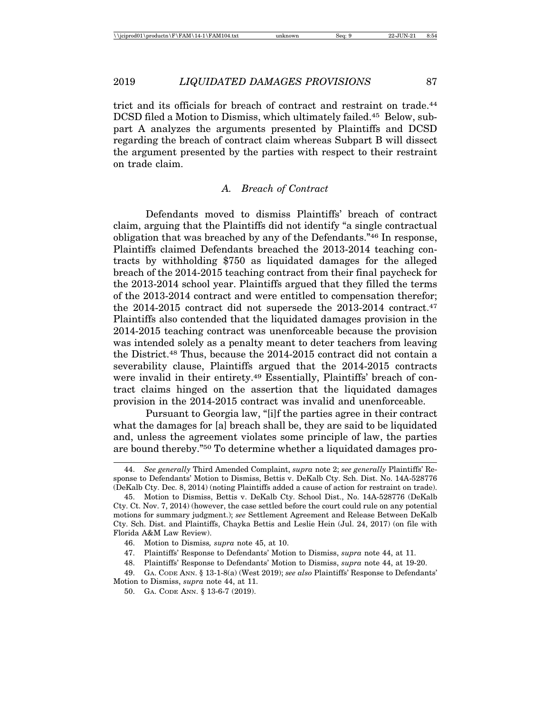trict and its officials for breach of contract and restraint on trade.44 DCSD filed a Motion to Dismiss, which ultimately failed.45 Below, subpart A analyzes the arguments presented by Plaintiffs and DCSD regarding the breach of contract claim whereas Subpart B will dissect the argument presented by the parties with respect to their restraint on trade claim.

# *A. Breach of Contract*

Defendants moved to dismiss Plaintiffs' breach of contract claim, arguing that the Plaintiffs did not identify "a single contractual obligation that was breached by any of the Defendants."46 In response, Plaintiffs claimed Defendants breached the 2013-2014 teaching contracts by withholding \$750 as liquidated damages for the alleged breach of the 2014-2015 teaching contract from their final paycheck for the 2013-2014 school year. Plaintiffs argued that they filled the terms of the 2013-2014 contract and were entitled to compensation therefor; the 2014-2015 contract did not supersede the 2013-2014 contract.47 Plaintiffs also contended that the liquidated damages provision in the 2014-2015 teaching contract was unenforceable because the provision was intended solely as a penalty meant to deter teachers from leaving the District.48 Thus, because the 2014-2015 contract did not contain a severability clause, Plaintiffs argued that the 2014-2015 contracts were invalid in their entirety.<sup>49</sup> Essentially, Plaintiffs' breach of contract claims hinged on the assertion that the liquidated damages provision in the 2014-2015 contract was invalid and unenforceable.

Pursuant to Georgia law, "[i]f the parties agree in their contract what the damages for [a] breach shall be, they are said to be liquidated and, unless the agreement violates some principle of law, the parties are bound thereby."50 To determine whether a liquidated damages pro-

<sup>44.</sup> *See generally* Third Amended Complaint, *supra* note 2; *see generally* Plaintiffs' Response to Defendants' Motion to Dismiss, Bettis v. DeKalb Cty. Sch. Dist. No. 14A-528776 (DeKalb Cty. Dec. 8, 2014) (noting Plaintiffs added a cause of action for restraint on trade).

<sup>45.</sup> Motion to Dismiss, Bettis v. DeKalb Cty. School Dist., No. 14A-528776 (DeKalb Cty. Ct. Nov. 7, 2014) (however, the case settled before the court could rule on any potential motions for summary judgment.); *see* Settlement Agreement and Release Between DeKalb Cty. Sch. Dist. and Plaintiffs, Chayka Bettis and Leslie Hein (Jul. 24, 2017) (on file with Florida A&M Law Review).

<sup>46.</sup> Motion to Dismiss*, supra* note 45, at 10.

<sup>47.</sup> Plaintiffs' Response to Defendants' Motion to Dismiss, *supra* note 44, at 11.

<sup>48.</sup> Plaintiffs' Response to Defendants' Motion to Dismiss, *supra* note 44, at 19-20.

<sup>49.</sup> GA. CODE ANN. § 13-1-8(a) (West 2019); *see also* Plaintiffs' Response to Defendants' Motion to Dismiss, *supra* note 44, at 11.

<sup>50.</sup> GA. CODE ANN. § 13-6-7 (2019).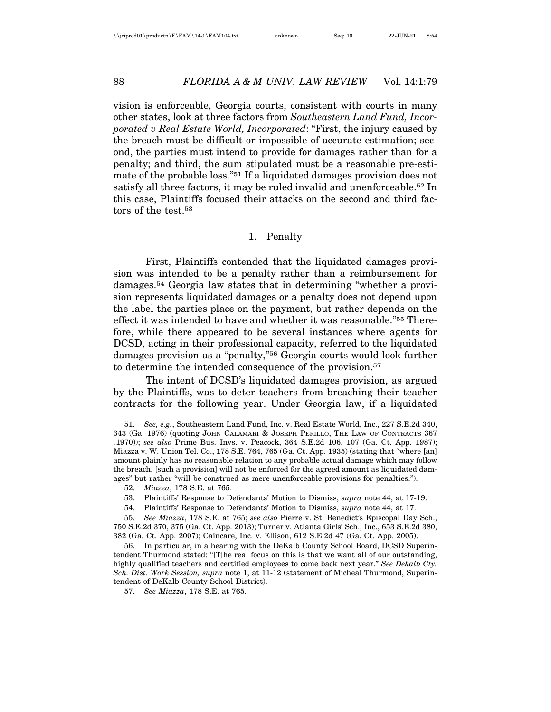vision is enforceable, Georgia courts, consistent with courts in many other states, look at three factors from *Southeastern Land Fund, Incorporated v Real Estate World, Incorporated*: "First, the injury caused by the breach must be difficult or impossible of accurate estimation; second, the parties must intend to provide for damages rather than for a penalty; and third, the sum stipulated must be a reasonable pre-estimate of the probable loss."51 If a liquidated damages provision does not satisfy all three factors, it may be ruled invalid and unenforceable.52 In this case, Plaintiffs focused their attacks on the second and third factors of the test.<sup>53</sup>

#### 1. Penalty

First, Plaintiffs contended that the liquidated damages provision was intended to be a penalty rather than a reimbursement for damages.54 Georgia law states that in determining "whether a provision represents liquidated damages or a penalty does not depend upon the label the parties place on the payment, but rather depends on the effect it was intended to have and whether it was reasonable."55 Therefore, while there appeared to be several instances where agents for DCSD, acting in their professional capacity, referred to the liquidated damages provision as a "penalty,"56 Georgia courts would look further to determine the intended consequence of the provision.<sup>57</sup>

The intent of DCSD's liquidated damages provision, as argued by the Plaintiffs, was to deter teachers from breaching their teacher contracts for the following year. Under Georgia law, if a liquidated

<sup>51.</sup> *See, e.g.*, Southeastern Land Fund, Inc. v. Real Estate World, Inc., 227 S.E.2d 340, 343 (Ga. 1976) (quoting JOHN CALAMARI & JOSEPH PERILLO, THE LAW OF CONTRACTS 367 (1970)); *see also* Prime Bus. Invs. v. Peacock, 364 S.E.2d 106, 107 (Ga. Ct. App. 1987); Miazza v. W. Union Tel. Co., 178 S.E. 764, 765 (Ga. Ct. App. 1935) (stating that "where [an] amount plainly has no reasonable relation to any probable actual damage which may follow the breach, [such a provision] will not be enforced for the agreed amount as liquidated damages" but rather "will be construed as mere unenforceable provisions for penalties.").

<sup>52.</sup> *Miazza*, 178 S.E. at 765.

<sup>53.</sup> Plaintiffs' Response to Defendants' Motion to Dismiss, *supra* note 44, at 17-19.

<sup>54.</sup> Plaintiffs' Response to Defendants' Motion to Dismiss, *supra* note 44, at 17.

<sup>55.</sup> *See Miazza*, 178 S.E. at 765; *see also* Pierre v. St. Benedict's Episcopal Day Sch., 750 S.E.2d 370, 375 (Ga. Ct. App. 2013); Turner v. Atlanta Girls' Sch., Inc., 653 S.E.2d 380, 382 (Ga. Ct. App. 2007); Caincare, Inc. v. Ellison, 612 S.E.2d 47 (Ga. Ct. App. 2005).

<sup>56.</sup> In particular, in a hearing with the DeKalb County School Board, DCSD Superintendent Thurmond stated: "[T]he real focus on this is that we want all of our outstanding, highly qualified teachers and certified employees to come back next year." *See Dekalb Cty. Sch. Dist. Work Session, supra* note 1, at 11-12 (statement of Micheal Thurmond, Superintendent of DeKalb County School District).

<sup>57.</sup> *See Miazza*, 178 S.E. at 765.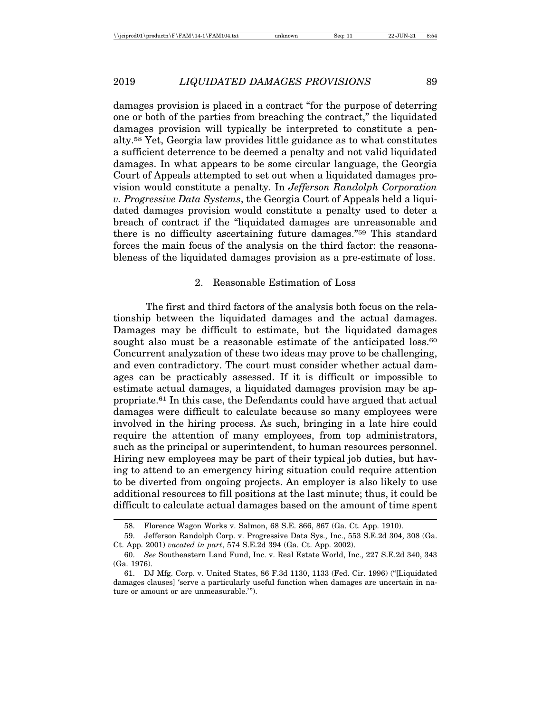damages provision is placed in a contract "for the purpose of deterring one or both of the parties from breaching the contract," the liquidated damages provision will typically be interpreted to constitute a penalty.58 Yet, Georgia law provides little guidance as to what constitutes a sufficient deterrence to be deemed a penalty and not valid liquidated damages. In what appears to be some circular language, the Georgia Court of Appeals attempted to set out when a liquidated damages provision would constitute a penalty. In *Jefferson Randolph Corporation v. Progressive Data Systems*, the Georgia Court of Appeals held a liquidated damages provision would constitute a penalty used to deter a breach of contract if the "liquidated damages are unreasonable and there is no difficulty ascertaining future damages."59 This standard forces the main focus of the analysis on the third factor: the reasonableness of the liquidated damages provision as a pre-estimate of loss.

#### 2. Reasonable Estimation of Loss

The first and third factors of the analysis both focus on the relationship between the liquidated damages and the actual damages. Damages may be difficult to estimate, but the liquidated damages sought also must be a reasonable estimate of the anticipated loss.<sup>60</sup> Concurrent analyzation of these two ideas may prove to be challenging, and even contradictory. The court must consider whether actual damages can be practicably assessed. If it is difficult or impossible to estimate actual damages, a liquidated damages provision may be appropriate.61 In this case, the Defendants could have argued that actual damages were difficult to calculate because so many employees were involved in the hiring process. As such, bringing in a late hire could require the attention of many employees, from top administrators, such as the principal or superintendent, to human resources personnel. Hiring new employees may be part of their typical job duties, but having to attend to an emergency hiring situation could require attention to be diverted from ongoing projects. An employer is also likely to use additional resources to fill positions at the last minute; thus, it could be difficult to calculate actual damages based on the amount of time spent

<sup>58.</sup> Florence Wagon Works v. Salmon, 68 S.E. 866, 867 (Ga. Ct. App. 1910).

<sup>59.</sup> Jefferson Randolph Corp. v. Progressive Data Sys., Inc., 553 S.E.2d 304, 308 (Ga. Ct. App. 2001) *vacated in part*, 574 S.E.2d 394 (Ga. Ct. App. 2002).

<sup>60.</sup> *See* Southeastern Land Fund, Inc. v. Real Estate World, Inc., 227 S.E.2d 340, 343 (Ga. 1976).

<sup>61.</sup> DJ Mfg. Corp. v. United States, 86 F.3d 1130, 1133 (Fed. Cir. 1996) ("[Liquidated damages clauses] 'serve a particularly useful function when damages are uncertain in nature or amount or are unmeasurable.'").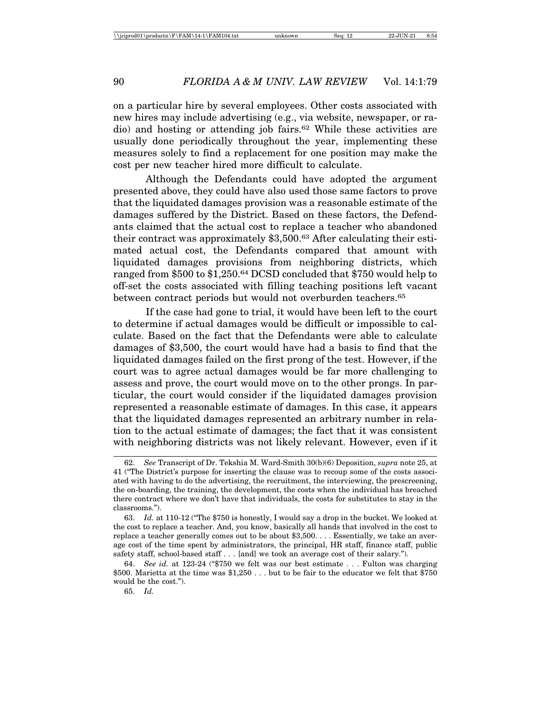on a particular hire by several employees. Other costs associated with new hires may include advertising (e.g., via website, newspaper, or radio) and hosting or attending job fairs.62 While these activities are usually done periodically throughout the year, implementing these measures solely to find a replacement for one position may make the cost per new teacher hired more difficult to calculate.

Although the Defendants could have adopted the argument presented above, they could have also used those same factors to prove that the liquidated damages provision was a reasonable estimate of the damages suffered by the District. Based on these factors, the Defendants claimed that the actual cost to replace a teacher who abandoned their contract was approximately \$3,500.63 After calculating their estimated actual cost, the Defendants compared that amount with liquidated damages provisions from neighboring districts, which ranged from \$500 to \$1,250.64 DCSD concluded that \$750 would help to off-set the costs associated with filling teaching positions left vacant between contract periods but would not overburden teachers.65

If the case had gone to trial, it would have been left to the court to determine if actual damages would be difficult or impossible to calculate. Based on the fact that the Defendants were able to calculate damages of \$3,500, the court would have had a basis to find that the liquidated damages failed on the first prong of the test. However, if the court was to agree actual damages would be far more challenging to assess and prove, the court would move on to the other prongs. In particular, the court would consider if the liquidated damages provision represented a reasonable estimate of damages. In this case, it appears that the liquidated damages represented an arbitrary number in relation to the actual estimate of damages; the fact that it was consistent with neighboring districts was not likely relevant. However, even if it

<sup>62.</sup> *See* Transcript of Dr. Tekshia M. Ward-Smith 30(b)(6) Deposition, *supra* note 25, at 41 ("The District's purpose for inserting the clause was to recoup some of the costs associated with having to do the advertising, the recruitment, the interviewing, the prescreening, the on-boarding, the training, the development, the costs when the individual has breached there contract where we don't have that individuals, the costs for substitutes to stay in the classrooms.").

<sup>63.</sup> *Id.* at 110-12 ("The \$750 is honestly, I would say a drop in the bucket. We looked at the cost to replace a teacher. And, you know, basically all hands that involved in the cost to replace a teacher generally comes out to be about \$3,500. . . . Essentially, we take an average cost of the time spent by administrators, the principal, HR staff, finance staff, public safety staff, school-based staff . . . [and] we took an average cost of their salary.").

<sup>64.</sup> *See id.* at 123-24 ("\$750 we felt was our best estimate . . . Fulton was charging \$500. Marietta at the time was  $$1,250...$  but to be fair to the educator we felt that  $$750$ would be the cost.").

<sup>65.</sup> *Id.*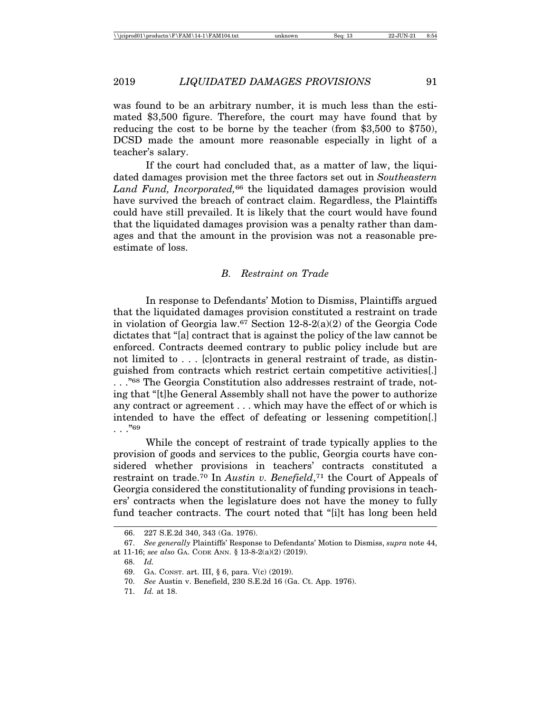was found to be an arbitrary number, it is much less than the estimated \$3,500 figure. Therefore, the court may have found that by reducing the cost to be borne by the teacher (from \$3,500 to \$750), DCSD made the amount more reasonable especially in light of a teacher's salary.

If the court had concluded that, as a matter of law, the liquidated damages provision met the three factors set out in *Southeastern Land Fund, Incorporated,*66 the liquidated damages provision would have survived the breach of contract claim. Regardless, the Plaintiffs could have still prevailed. It is likely that the court would have found that the liquidated damages provision was a penalty rather than damages and that the amount in the provision was not a reasonable preestimate of loss.

### *B. Restraint on Trade*

In response to Defendants' Motion to Dismiss, Plaintiffs argued that the liquidated damages provision constituted a restraint on trade in violation of Georgia law.<sup>67</sup> Section 12-8-2(a)(2) of the Georgia Code dictates that "[a] contract that is against the policy of the law cannot be enforced. Contracts deemed contrary to public policy include but are not limited to . . . [c]ontracts in general restraint of trade, as distinguished from contracts which restrict certain competitive activities[.] . . ."68 The Georgia Constitution also addresses restraint of trade, noting that "[t]he General Assembly shall not have the power to authorize any contract or agreement . . . which may have the effect of or which is intended to have the effect of defeating or lessening competition[.]  $\cdots$ . "69

While the concept of restraint of trade typically applies to the provision of goods and services to the public, Georgia courts have considered whether provisions in teachers' contracts constituted a restraint on trade.70 In *Austin v. Benefield*,71 the Court of Appeals of Georgia considered the constitutionality of funding provisions in teachers' contracts when the legislature does not have the money to fully fund teacher contracts. The court noted that "[i]t has long been held

<sup>66. 227</sup> S.E.2d 340, 343 (Ga. 1976).

<sup>67.</sup> *See generally* Plaintiffs' Response to Defendants' Motion to Dismiss, *supra* note 44, at 11-16; *see also* GA. CODE ANN. § 13-8-2(a)(2) (2019).

<sup>68.</sup> *Id.*

<sup>69.</sup> GA. CONST. art. III, § 6, para. V(c) (2019).

<sup>70.</sup> *See* Austin v. Benefield, 230 S.E.2d 16 (Ga. Ct. App. 1976).

<sup>71.</sup> *Id.* at 18.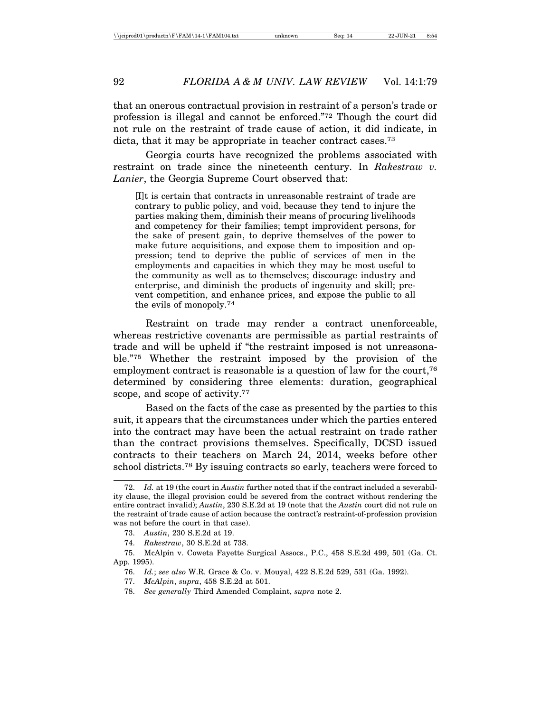that an onerous contractual provision in restraint of a person's trade or profession is illegal and cannot be enforced."72 Though the court did not rule on the restraint of trade cause of action, it did indicate, in dicta, that it may be appropriate in teacher contract cases.<sup>73</sup>

Georgia courts have recognized the problems associated with restraint on trade since the nineteenth century. In *Rakestraw v. Lanier*, the Georgia Supreme Court observed that:

[I]t is certain that contracts in unreasonable restraint of trade are contrary to public policy, and void, because they tend to injure the parties making them, diminish their means of procuring livelihoods and competency for their families; tempt improvident persons, for the sake of present gain, to deprive themselves of the power to make future acquisitions, and expose them to imposition and oppression; tend to deprive the public of services of men in the employments and capacities in which they may be most useful to the community as well as to themselves; discourage industry and enterprise, and diminish the products of ingenuity and skill; prevent competition, and enhance prices, and expose the public to all the evils of monopoly.74

Restraint on trade may render a contract unenforceable, whereas restrictive covenants are permissible as partial restraints of trade and will be upheld if "the restraint imposed is not unreasonable."75 Whether the restraint imposed by the provision of the employment contract is reasonable is a question of law for the court,<sup>76</sup> determined by considering three elements: duration, geographical scope, and scope of activity.<sup>77</sup>

Based on the facts of the case as presented by the parties to this suit, it appears that the circumstances under which the parties entered into the contract may have been the actual restraint on trade rather than the contract provisions themselves. Specifically, DCSD issued contracts to their teachers on March 24, 2014, weeks before other school districts.78 By issuing contracts so early, teachers were forced to

<sup>72.</sup> *Id.* at 19 (the court in *Austin* further noted that if the contract included a severability clause, the illegal provision could be severed from the contract without rendering the entire contract invalid); *Austin*, 230 S.E.2d at 19 (note that the *Austin* court did not rule on the restraint of trade cause of action because the contract's restraint-of-profession provision was not before the court in that case).

<sup>73.</sup> *Austin*, 230 S.E.2d at 19.

<sup>74.</sup> *Rakestraw*, 30 S.E.2d at 738.

<sup>75.</sup> McAlpin v. Coweta Fayette Surgical Assocs., P.C., 458 S.E.2d 499, 501 (Ga. Ct. App. 1995).

<sup>76.</sup> *Id.*; *see also* W.R. Grace & Co. v. Mouyal, 422 S.E.2d 529, 531 (Ga. 1992).

<sup>77.</sup> *McAlpin*, *supra*, 458 S.E.2d at 501.

<sup>78.</sup> *See generally* Third Amended Complaint, *supra* note 2.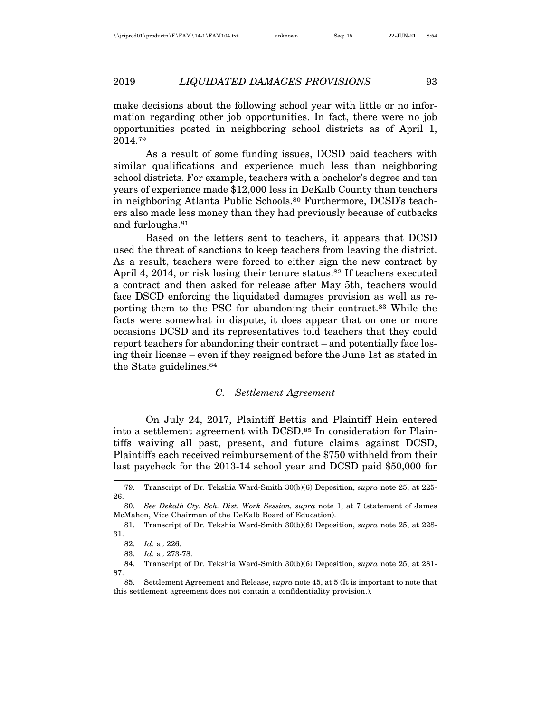make decisions about the following school year with little or no information regarding other job opportunities. In fact, there were no job opportunities posted in neighboring school districts as of April 1, 2014.79

As a result of some funding issues, DCSD paid teachers with similar qualifications and experience much less than neighboring school districts. For example, teachers with a bachelor's degree and ten years of experience made \$12,000 less in DeKalb County than teachers in neighboring Atlanta Public Schools.80 Furthermore, DCSD's teachers also made less money than they had previously because of cutbacks and furloughs.81

Based on the letters sent to teachers, it appears that DCSD used the threat of sanctions to keep teachers from leaving the district. As a result, teachers were forced to either sign the new contract by April 4, 2014, or risk losing their tenure status.<sup>82</sup> If teachers executed a contract and then asked for release after May 5th, teachers would face DSCD enforcing the liquidated damages provision as well as reporting them to the PSC for abandoning their contract.83 While the facts were somewhat in dispute, it does appear that on one or more occasions DCSD and its representatives told teachers that they could report teachers for abandoning their contract – and potentially face losing their license – even if they resigned before the June 1st as stated in the State guidelines.84

#### *C. Settlement Agreement*

On July 24, 2017, Plaintiff Bettis and Plaintiff Hein entered into a settlement agreement with DCSD.<sup>85</sup> In consideration for Plaintiffs waiving all past, present, and future claims against DCSD, Plaintiffs each received reimbursement of the \$750 withheld from their last paycheck for the 2013-14 school year and DCSD paid \$50,000 for

84. Transcript of Dr. Tekshia Ward-Smith 30(b)(6) Deposition, *supra* note 25, at 281- 87.

85. Settlement Agreement and Release, *supra* note 45, at 5 (It is important to note that this settlement agreement does not contain a confidentiality provision.).

<sup>79.</sup> Transcript of Dr. Tekshia Ward-Smith 30(b)(6) Deposition, *supra* note 25, at 225- 26.

<sup>80.</sup> *See Dekalb Cty. Sch. Dist. Work Session, supra* note 1, at 7 (statement of James McMahon, Vice Chairman of the DeKalb Board of Education).

<sup>81.</sup> Transcript of Dr. Tekshia Ward-Smith 30(b)(6) Deposition, *supra* note 25, at 228- 31.

<sup>82.</sup> *Id.* at 226.

<sup>83.</sup> *Id.* at 273-78.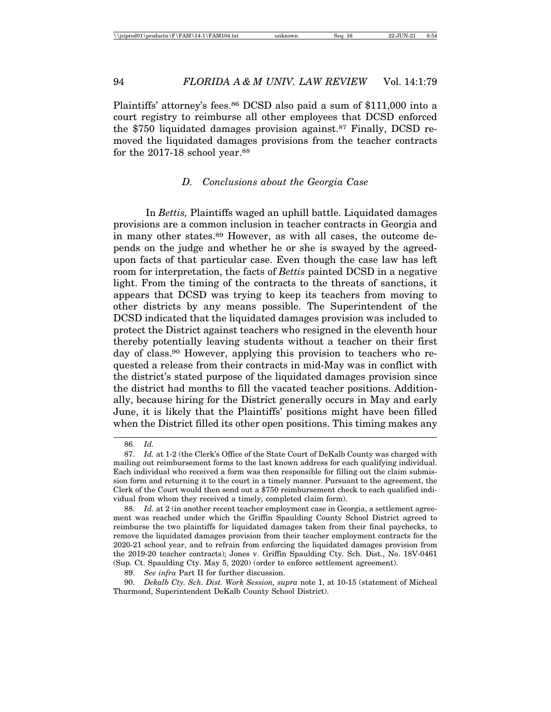Plaintiffs' attorney's fees.86 DCSD also paid a sum of \$111,000 into a court registry to reimburse all other employees that DCSD enforced the \$750 liquidated damages provision against.87 Finally, DCSD removed the liquidated damages provisions from the teacher contracts for the 2017-18 school year.<sup>88</sup>

#### *D. Conclusions about the Georgia Case*

In *Bettis,* Plaintiffs waged an uphill battle. Liquidated damages provisions are a common inclusion in teacher contracts in Georgia and in many other states.89 However, as with all cases, the outcome depends on the judge and whether he or she is swayed by the agreedupon facts of that particular case. Even though the case law has left room for interpretation, the facts of *Bettis* painted DCSD in a negative light. From the timing of the contracts to the threats of sanctions, it appears that DCSD was trying to keep its teachers from moving to other districts by any means possible. The Superintendent of the DCSD indicated that the liquidated damages provision was included to protect the District against teachers who resigned in the eleventh hour thereby potentially leaving students without a teacher on their first day of class.90 However, applying this provision to teachers who requested a release from their contracts in mid-May was in conflict with the district's stated purpose of the liquidated damages provision since the district had months to fill the vacated teacher positions. Additionally, because hiring for the District generally occurs in May and early June, it is likely that the Plaintiffs' positions might have been filled when the District filled its other open positions. This timing makes any

<sup>86.</sup> *Id.*

<sup>87.</sup> *Id.* at 1-2 (the Clerk's Office of the State Court of DeKalb County was charged with mailing out reimbursement forms to the last known address for each qualifying individual. Each individual who received a form was then responsible for filling out the claim submission form and returning it to the court in a timely manner. Pursuant to the agreement, the Clerk of the Court would then send out a \$750 reimbursement check to each qualified individual from whom they received a timely, completed claim form).

<sup>88.</sup> *Id.* at 2 (in another recent teacher employment case in Georgia, a settlement agreement was reached under which the Griffin Spaulding County School District agreed to reimburse the two plaintiffs for liquidated damages taken from their final paychecks, to remove the liquidated damages provision from their teacher employment contracts for the 2020-21 school year, and to refrain from enforcing the liquidated damages provision from the 2019-20 teacher contracts); Jones v. Griffin Spaulding Cty. Sch. Dist., No. 18V-0461 (Sup. Ct. Spaulding Cty. May 5, 2020) (order to enforce settlement agreement).

<sup>89.</sup> *See infra* Part II for further discussion.

<sup>90.</sup> *Dekalb Cty. Sch. Dist. Work Session, supra* note 1, at 10-15 (statement of Micheal Thurmond, Superintendent DeKalb County School District).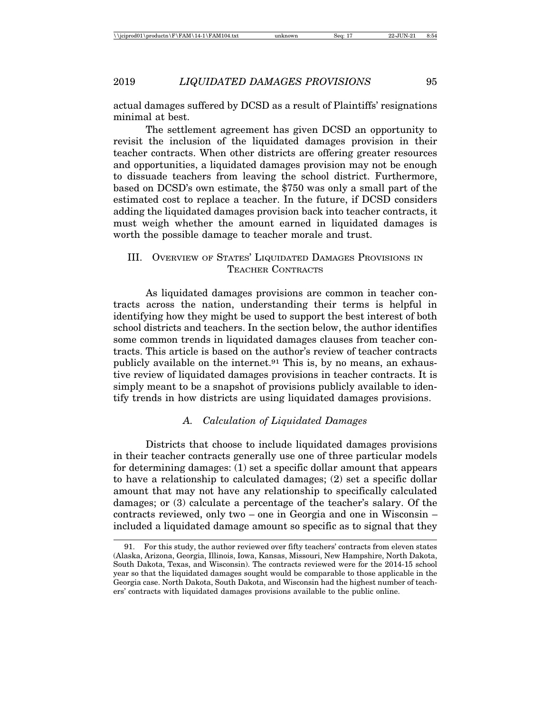actual damages suffered by DCSD as a result of Plaintiffs' resignations minimal at best.

The settlement agreement has given DCSD an opportunity to revisit the inclusion of the liquidated damages provision in their teacher contracts. When other districts are offering greater resources and opportunities, a liquidated damages provision may not be enough to dissuade teachers from leaving the school district. Furthermore, based on DCSD's own estimate, the \$750 was only a small part of the estimated cost to replace a teacher. In the future, if DCSD considers adding the liquidated damages provision back into teacher contracts, it must weigh whether the amount earned in liquidated damages is worth the possible damage to teacher morale and trust.

# III. OVERVIEW OF STATES' LIQUIDATED DAMAGES PROVISIONS IN TEACHER CONTRACTS

As liquidated damages provisions are common in teacher contracts across the nation, understanding their terms is helpful in identifying how they might be used to support the best interest of both school districts and teachers. In the section below, the author identifies some common trends in liquidated damages clauses from teacher contracts. This article is based on the author's review of teacher contracts publicly available on the internet.<sup>91</sup> This is, by no means, an exhaustive review of liquidated damages provisions in teacher contracts. It is simply meant to be a snapshot of provisions publicly available to identify trends in how districts are using liquidated damages provisions.

## *A. Calculation of Liquidated Damages*

Districts that choose to include liquidated damages provisions in their teacher contracts generally use one of three particular models for determining damages: (1) set a specific dollar amount that appears to have a relationship to calculated damages; (2) set a specific dollar amount that may not have any relationship to specifically calculated damages; or (3) calculate a percentage of the teacher's salary. Of the contracts reviewed, only two – one in Georgia and one in Wisconsin – included a liquidated damage amount so specific as to signal that they

<sup>91.</sup> For this study, the author reviewed over fifty teachers' contracts from eleven states (Alaska, Arizona, Georgia, Illinois, Iowa, Kansas, Missouri, New Hampshire, North Dakota, South Dakota, Texas, and Wisconsin). The contracts reviewed were for the 2014-15 school year so that the liquidated damages sought would be comparable to those applicable in the Georgia case. North Dakota, South Dakota, and Wisconsin had the highest number of teachers' contracts with liquidated damages provisions available to the public online.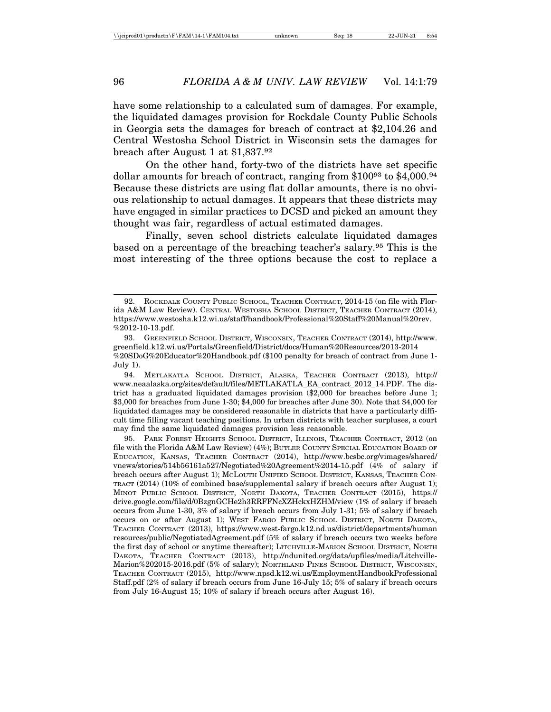have some relationship to a calculated sum of damages. For example, the liquidated damages provision for Rockdale County Public Schools in Georgia sets the damages for breach of contract at \$2,104.26 and Central Westosha School District in Wisconsin sets the damages for breach after August 1 at \$1,837.92

On the other hand, forty-two of the districts have set specific dollar amounts for breach of contract, ranging from \$10093 to \$4,000.94 Because these districts are using flat dollar amounts, there is no obvious relationship to actual damages. It appears that these districts may have engaged in similar practices to DCSD and picked an amount they thought was fair, regardless of actual estimated damages.

Finally, seven school districts calculate liquidated damages based on a percentage of the breaching teacher's salary.95 This is the most interesting of the three options because the cost to replace a

94. METLAKATLA SCHOOL DISTRICT, ALASKA, TEACHER CONTRACT (2013), http:// www.neaalaska.org/sites/default/files/METLAKATLA\_EA\_contract\_2012\_14.PDF. The district has a graduated liquidated damages provision (\$2,000 for breaches before June 1; \$3,000 for breaches from June 1-30; \$4,000 for breaches after June 30). Note that \$4,000 for liquidated damages may be considered reasonable in districts that have a particularly difficult time filling vacant teaching positions. In urban districts with teacher surpluses, a court may find the same liquidated damages provision less reasonable.

95. PARK FOREST HEIGHTS SCHOOL DISTRICT, ILLINOIS, TEACHER CONTRACT, 2012 (on file with the Florida A&M Law Review) (4%); BUTLER COUNTY SPECIAL EDUCATION BOARD OF EDUCATION, KANSAS, TEACHER CONTRACT (2014), http://www.bcsbc.org/vimages/shared/ vnews/stories/514b56161a527/Negotiated%20Agreement%2014-15.pdf (4% of salary if breach occurs after August 1); MCLOUTH UNIFIED SCHOOL DISTRICT, KANSAS, TEACHER CON-TRACT (2014) (10% of combined base/supplemental salary if breach occurs after August 1); MINOT PUBLIC SCHOOL DISTRICT, NORTH DAKOTA, TEACHER CONTRACT (2015), https:// drive.google.com/file/d/0BzgnGCHe2h3RRFFNcXZHckxHZHM/view (1% of salary if breach occurs from June 1-30, 3% of salary if breach occurs from July 1-31; 5% of salary if breach occurs on or after August 1); WEST FARGO PUBLIC SCHOOL DISTRICT, NORTH DAKOTA, TEACHER CONTRACT (2013), https://www.west-fargo.k12.nd.us/district/departments/human resources/public/NegotiatedAgreement.pdf (5% of salary if breach occurs two weeks before the first day of school or anytime thereafter); LITCHVILLE-MARION SCHOOL DISTRICT, NORTH DAKOTA, TEACHER CONTRACT (2013), http://ndunited.org/data/upfiles/media/Litchville-Marion%202015-2016.pdf (5% of salary); NORTHLAND PINES SCHOOL DISTRICT, WISCONSIN, TEACHER CONTRACT (2015), http://www.npsd.k12.wi.us/EmploymentHandbookProfessional Staff.pdf (2% of salary if breach occurs from June 16-July 15; 5% of salary if breach occurs from July 16-August 15; 10% of salary if breach occurs after August 16).

<sup>92.</sup> ROCKDALE COUNTY PUBLIC SCHOOL, TEACHER CONTRACT, 2014-15 (on file with Florida A&M Law Review). CENTRAL WESTOSHA SCHOOL DISTRICT, TEACHER CONTRACT (2014), https://www.westosha.k12.wi.us/staff/handbook/Professional%20Staff%20Manual%20rev. %2012-10-13.pdf.

<sup>93.</sup> GREENFIELD SCHOOL DISTRICT, WISCONSIN, TEACHER CONTRACT (2014), http://www. greenfield.k12.wi.us/Portals/Greenfield/District/docs/Human%20Resources/2013-2014 %20SDoG%20Educator%20Handbook.pdf (\$100 penalty for breach of contract from June 1- July 1).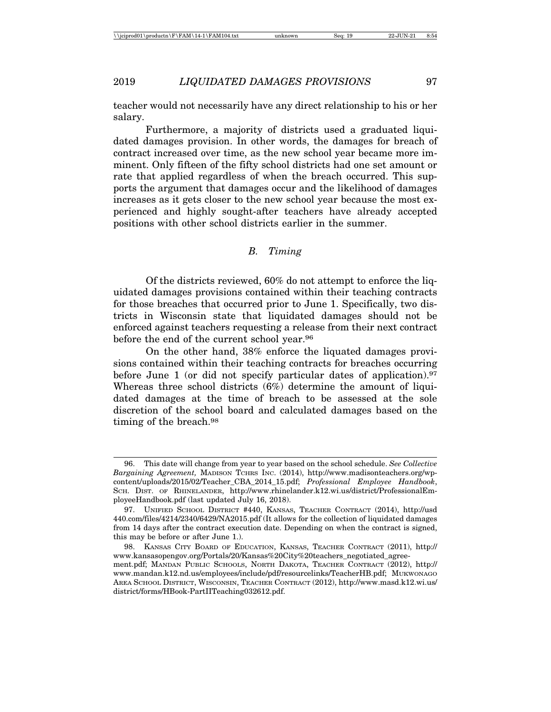teacher would not necessarily have any direct relationship to his or her salary.

Furthermore, a majority of districts used a graduated liquidated damages provision. In other words, the damages for breach of contract increased over time, as the new school year became more imminent. Only fifteen of the fifty school districts had one set amount or rate that applied regardless of when the breach occurred. This supports the argument that damages occur and the likelihood of damages increases as it gets closer to the new school year because the most experienced and highly sought-after teachers have already accepted positions with other school districts earlier in the summer.

### *B. Timing*

Of the districts reviewed, 60% do not attempt to enforce the liquidated damages provisions contained within their teaching contracts for those breaches that occurred prior to June 1. Specifically, two districts in Wisconsin state that liquidated damages should not be enforced against teachers requesting a release from their next contract before the end of the current school year.<sup>96</sup>

On the other hand, 38% enforce the liquated damages provisions contained within their teaching contracts for breaches occurring before June 1 (or did not specify particular dates of application).<sup>97</sup> Whereas three school districts (6%) determine the amount of liquidated damages at the time of breach to be assessed at the sole discretion of the school board and calculated damages based on the timing of the breach.98

<sup>96.</sup> This date will change from year to year based on the school schedule. *See Collective Bargaining Agreement,* MADISON TCHRS INC. (2014), http://www.madisonteachers.org/wpcontent/uploads/2015/02/Teacher\_CBA\_2014\_15.pdf; *Professional Employee Handbook*, SCH. DIST. OF RHINELANDER, http://www.rhinelander.k12.wi.us/district/ProfessionalEmployeeHandbook.pdf (last updated July 16, 2018).

<sup>97.</sup> UNIFIED SCHOOL DISTRICT #440, KANSAS, TEACHER CONTRACT (2014), http://usd 440.com/files/4214/2340/6429/NA2015.pdf (It allows for the collection of liquidated damages from 14 days after the contract execution date. Depending on when the contract is signed, this may be before or after June 1.).

<sup>98.</sup> KANSAS CITY BOARD OF EDUCATION, KANSAS, TEACHER CONTRACT (2011), http:// www.kansasopengov.org/Portals/20/Kansas%20City%20teachers\_negotiated\_agreement.pdf; MANDAN PUBLIC SCHOOLS, NORTH DAKOTA, TEACHER CONTRACT (2012), http:// www.mandan.k12.nd.us/employees/include/pdf/resourcelinks/TeacherHB.pdf; MUKWONAGO AREA SCHOOL DISTRICT, WISCONSIN, TEACHER CONTRACT (2012), http://www.masd.k12.wi.us/ district/forms/HBook-PartIITeaching032612.pdf.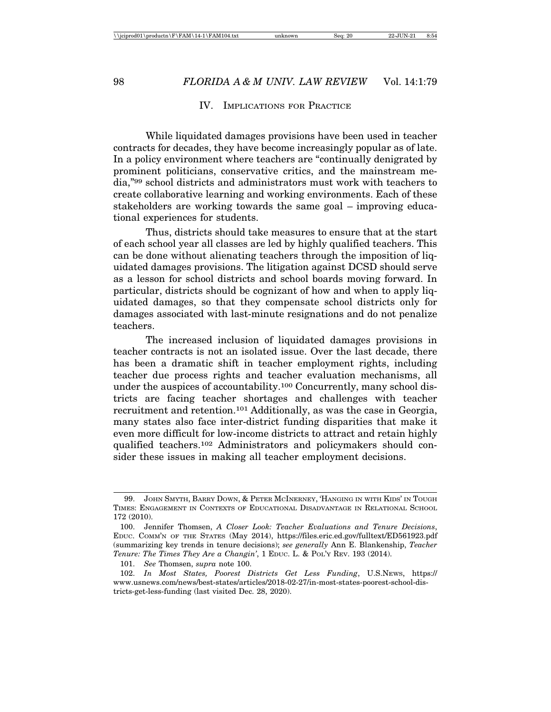#### IV. IMPLICATIONS FOR PRACTICE

While liquidated damages provisions have been used in teacher contracts for decades, they have become increasingly popular as of late. In a policy environment where teachers are "continually denigrated by prominent politicians, conservative critics, and the mainstream media,"99 school districts and administrators must work with teachers to create collaborative learning and working environments. Each of these stakeholders are working towards the same goal – improving educational experiences for students.

Thus, districts should take measures to ensure that at the start of each school year all classes are led by highly qualified teachers. This can be done without alienating teachers through the imposition of liquidated damages provisions. The litigation against DCSD should serve as a lesson for school districts and school boards moving forward. In particular, districts should be cognizant of how and when to apply liquidated damages, so that they compensate school districts only for damages associated with last-minute resignations and do not penalize teachers.

The increased inclusion of liquidated damages provisions in teacher contracts is not an isolated issue. Over the last decade, there has been a dramatic shift in teacher employment rights, including teacher due process rights and teacher evaluation mechanisms, all under the auspices of accountability.100 Concurrently, many school districts are facing teacher shortages and challenges with teacher recruitment and retention.101 Additionally, as was the case in Georgia, many states also face inter-district funding disparities that make it even more difficult for low-income districts to attract and retain highly qualified teachers.102 Administrators and policymakers should consider these issues in making all teacher employment decisions.

101. *See* Thomsen, *supra* note 100.

<sup>99.</sup> JOHN SMYTH, BARRY DOWN, & PETER MCINERNEY, 'HANGING IN WITH KIDS' IN TOUGH TIMES: ENGAGEMENT IN CONTEXTS OF EDUCATIONAL DISADVANTAGE IN RELATIONAL SCHOOL 172 (2010).

<sup>100.</sup> Jennifer Thomsen, *A Closer Look: Teacher Evaluations and Tenure Decisions*, EDUC. COMM'N OF THE STATES (May 2014), https://files.eric.ed.gov/fulltext/ED561923.pdf (summarizing key trends in tenure decisions); *see generally* Ann E. Blankenship, *Teacher Tenure: The Times They Are a Changin'*, 1 EDUC. L. & POL'Y REV. 193 (2014).

<sup>102.</sup> *In Most States, Poorest Districts Get Less Funding*, U.S.NEWS, https:// www.usnews.com/news/best-states/articles/2018-02-27/in-most-states-poorest-school-districts-get-less-funding (last visited Dec. 28, 2020).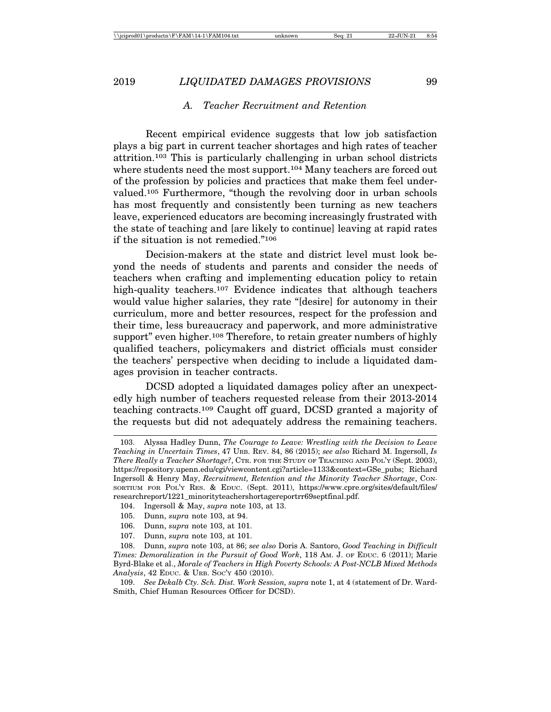#### *A. Teacher Recruitment and Retention*

Recent empirical evidence suggests that low job satisfaction plays a big part in current teacher shortages and high rates of teacher attrition.103 This is particularly challenging in urban school districts where students need the most support.<sup>104</sup> Many teachers are forced out of the profession by policies and practices that make them feel undervalued.105 Furthermore, "though the revolving door in urban schools has most frequently and consistently been turning as new teachers leave, experienced educators are becoming increasingly frustrated with the state of teaching and [are likely to continue] leaving at rapid rates if the situation is not remedied."106

Decision-makers at the state and district level must look beyond the needs of students and parents and consider the needs of teachers when crafting and implementing education policy to retain high-quality teachers.<sup>107</sup> Evidence indicates that although teachers would value higher salaries, they rate "[desire] for autonomy in their curriculum, more and better resources, respect for the profession and their time, less bureaucracy and paperwork, and more administrative support" even higher.<sup>108</sup> Therefore, to retain greater numbers of highly qualified teachers, policymakers and district officials must consider the teachers' perspective when deciding to include a liquidated damages provision in teacher contracts.

DCSD adopted a liquidated damages policy after an unexpectedly high number of teachers requested release from their 2013-2014 teaching contracts.109 Caught off guard, DCSD granted a majority of the requests but did not adequately address the remaining teachers.

<sup>103.</sup> Alyssa Hadley Dunn, *The Courage to Leave: Wrestling with the Decision to Leave Teaching in Uncertain Times*, 47 URB. REV. 84, 86 (2015); *see also* Richard M. Ingersoll, *Is There Really a Teacher Shortage?*, CTR. FOR THE STUDY OF TEACHING AND POL'Y (Sept. 2003), https://repository.upenn.edu/cgi/viewcontent.cgi?article=1133&context=GSe\_pubs; Richard Ingersoll & Henry May, *Recruitment, Retention and the Minority Teacher Shortage*, CON-SORTIUM FOR POL'Y RES. & EDUC. (Sept. 2011), https://www.cpre.org/sites/default/files/ researchreport/1221\_minorityteachershortagereportrr69septfinal.pdf.

<sup>104.</sup> Ingersoll & May, *supra* note 103, at 13.

<sup>105.</sup> Dunn, *supra* note 103, at 94.

<sup>106.</sup> Dunn, *supra* note 103, at 101.

<sup>107.</sup> Dunn, *supra* note 103, at 101.

<sup>108.</sup> Dunn, *supra* note 103, at 86; *see also* Doris A. Santoro, *Good Teaching in Difficult Times: Demoralization in the Pursuit of Good Work*, 118 AM. J. OF EDUC. 6 (2011); Marie Byrd-Blake et al., *Morale of Teachers in High Poverty Schools: A Post-NCLB Mixed Methods Analysis*, 42 EDUC. & URB. SOC'Y 450 (2010).

<sup>109.</sup> *See Dekalb Cty. Sch. Dist. Work Session, supra* note 1, at 4 (statement of Dr. Ward-Smith, Chief Human Resources Officer for DCSD).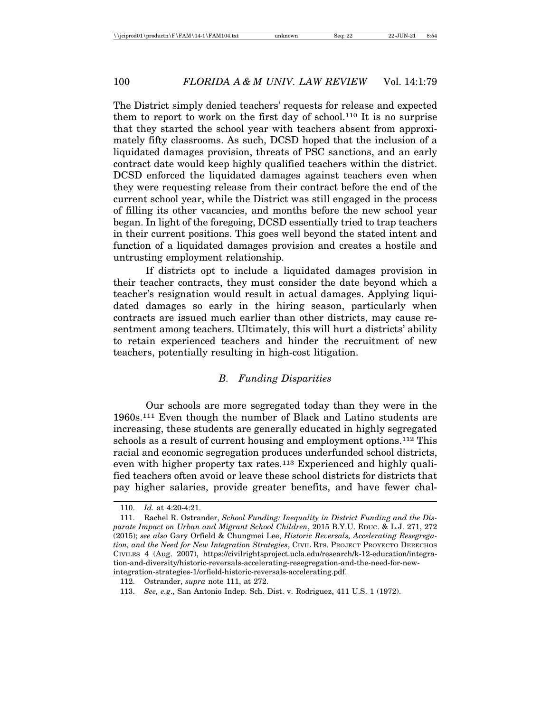The District simply denied teachers' requests for release and expected them to report to work on the first day of school.110 It is no surprise that they started the school year with teachers absent from approximately fifty classrooms. As such, DCSD hoped that the inclusion of a liquidated damages provision, threats of PSC sanctions, and an early contract date would keep highly qualified teachers within the district. DCSD enforced the liquidated damages against teachers even when they were requesting release from their contract before the end of the current school year, while the District was still engaged in the process of filling its other vacancies, and months before the new school year began. In light of the foregoing, DCSD essentially tried to trap teachers in their current positions. This goes well beyond the stated intent and function of a liquidated damages provision and creates a hostile and untrusting employment relationship.

If districts opt to include a liquidated damages provision in their teacher contracts, they must consider the date beyond which a teacher's resignation would result in actual damages. Applying liquidated damages so early in the hiring season, particularly when contracts are issued much earlier than other districts, may cause resentment among teachers. Ultimately, this will hurt a districts' ability to retain experienced teachers and hinder the recruitment of new teachers, potentially resulting in high-cost litigation.

## *B. Funding Disparities*

Our schools are more segregated today than they were in the 1960s.111 Even though the number of Black and Latino students are increasing, these students are generally educated in highly segregated schools as a result of current housing and employment options.112 This racial and economic segregation produces underfunded school districts, even with higher property tax rates.<sup>113</sup> Experienced and highly qualified teachers often avoid or leave these school districts for districts that pay higher salaries, provide greater benefits, and have fewer chal-

<sup>110.</sup> *Id.* at 4:20-4:21.

<sup>111.</sup> Rachel R. Ostrander, *School Funding: Inequality in District Funding and the Disparate Impact on Urban and Migrant School Children*, 2015 B.Y.U. EDUC. & L.J. 271, 272 (2015); *see also* Gary Orfield & Chungmei Lee, *Historic Reversals, Accelerating Resegregation, and the Need for New Integration Strategies*, CIVIL RTS. PROJECT PROYECTO DERECHOS CIVILES 4 (Aug. 2007), https://civilrightsproject.ucla.edu/research/k-12-education/integration-and-diversity/historic-reversals-accelerating-resegregation-and-the-need-for-newintegration-strategies-1/orfield-historic-reversals-accelerating.pdf.

<sup>112.</sup> Ostrander, *supra* note 111, at 272.

<sup>113.</sup> *See, e.g*., San Antonio Indep. Sch. Dist. v. Rodriguez, 411 U.S. 1 (1972).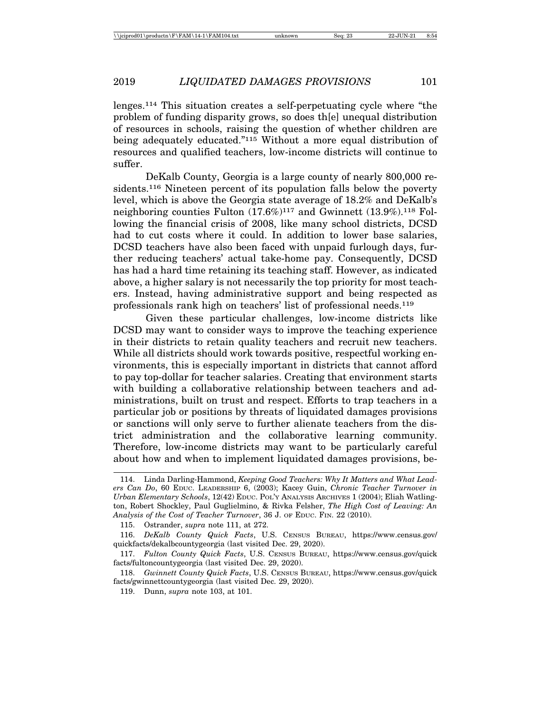lenges.114 This situation creates a self-perpetuating cycle where "the problem of funding disparity grows, so does th[e] unequal distribution of resources in schools, raising the question of whether children are being adequately educated."115 Without a more equal distribution of resources and qualified teachers, low-income districts will continue to suffer.

DeKalb County, Georgia is a large county of nearly 800,000 residents.116 Nineteen percent of its population falls below the poverty level, which is above the Georgia state average of 18.2% and DeKalb's neighboring counties Fulton  $(17.6\%)^{117}$  and Gwinnett  $(13.9\%)^{118}$  Following the financial crisis of 2008, like many school districts, DCSD had to cut costs where it could. In addition to lower base salaries, DCSD teachers have also been faced with unpaid furlough days, further reducing teachers' actual take-home pay. Consequently, DCSD has had a hard time retaining its teaching staff. However, as indicated above, a higher salary is not necessarily the top priority for most teachers. Instead, having administrative support and being respected as professionals rank high on teachers' list of professional needs.119

Given these particular challenges, low-income districts like DCSD may want to consider ways to improve the teaching experience in their districts to retain quality teachers and recruit new teachers. While all districts should work towards positive, respectful working environments, this is especially important in districts that cannot afford to pay top-dollar for teacher salaries. Creating that environment starts with building a collaborative relationship between teachers and administrations, built on trust and respect. Efforts to trap teachers in a particular job or positions by threats of liquidated damages provisions or sanctions will only serve to further alienate teachers from the district administration and the collaborative learning community. Therefore, low-income districts may want to be particularly careful about how and when to implement liquidated damages provisions, be-

<sup>114.</sup> Linda Darling-Hammond, *Keeping Good Teachers: Why It Matters and What Leaders Can Do*, 60 EDUC. LEADERSHIP 6, (2003); Kacey Guin, *Chronic Teacher Turnover in Urban Elementary Schools*, 12(42) EDUC. POL'Y ANALYSIS ARCHIVES 1 (2004); Eliah Watlington, Robert Shockley, Paul Guglielmino, & Rivka Felsher, *The High Cost of Leaving: An Analysis of the Cost of Teacher Turnover*, 36 J. OF EDUC. FIN. 22 (2010).

<sup>115.</sup> Ostrander, *supra* note 111, at 272.

<sup>116.</sup> *DeKalb County Quick Facts*, U.S. CENSUS BUREAU, https://www.census.gov/ quickfacts/dekalbcountygeorgia (last visited Dec. 29, 2020).

<sup>117.</sup> *Fulton County Quick Facts*, U.S. CENSUS BUREAU, https://www.census.gov/quick facts/fultoncountygeorgia (last visited Dec. 29, 2020).

<sup>118.</sup> *Gwinnett County Quick Facts*, U.S. CENSUS BUREAU, https://www.census.gov/quick facts/gwinnettcountygeorgia (last visited Dec. 29, 2020).

<sup>119.</sup> Dunn, *supra* note 103, at 101.